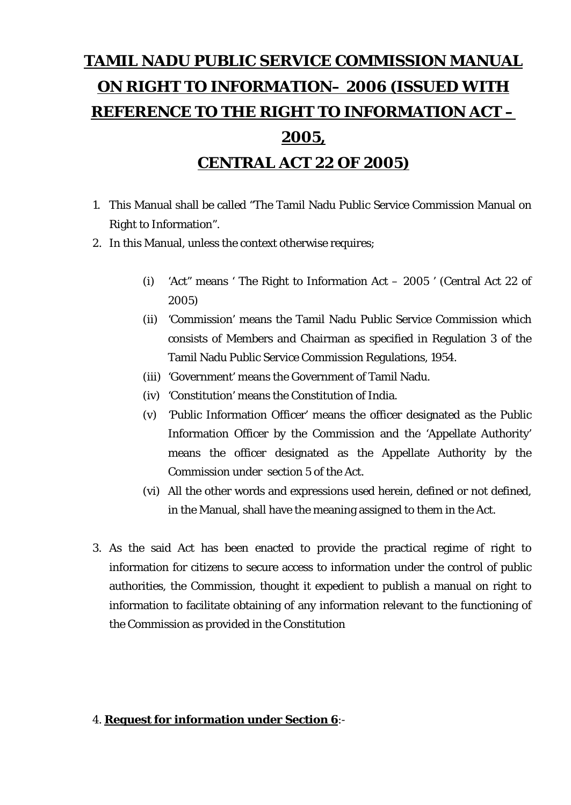# **TAMIL NADU PUBLIC SERVICE COMMISSION MANUAL ON RIGHT TO INFORMATION– 2006 (ISSUED WITH REFERENCE TO THE RIGHT TO INFORMATION ACT – 2005, CENTRAL ACT 22 OF 2005)**

- 1. This Manual shall be called "The Tamil Nadu Public Service Commission Manual on Right to Information".
- 2. In this Manual, unless the context otherwise requires;
	- (i) 'Act" means ' The Right to Information Act 2005 ' (Central Act 22 of 2005)
	- (ii) 'Commission' means the Tamil Nadu Public Service Commission which consists of Members and Chairman as specified in Regulation 3 of the Tamil Nadu Public Service Commission Regulations, 1954.
	- (iii) 'Government' means the Government of Tamil Nadu.
	- (iv) 'Constitution' means the Constitution of India.
	- (v) 'Public Information Officer' means the officer designated as the Public Information Officer by the Commission and the 'Appellate Authority' means the officer designated as the Appellate Authority by the Commission under section 5 of the Act.
	- (vi) All the other words and expressions used herein, defined or not defined, in the Manual, shall have the meaning assigned to them in the Act.
- 3. As the said Act has been enacted to provide the practical regime of right to information for citizens to secure access to information under the control of public authorities, the Commission, thought it expedient to publish a manual on right to information to facilitate obtaining of any information relevant to the functioning of the Commission as provided in the Constitution

#### 4. **Request for information under Section 6**:-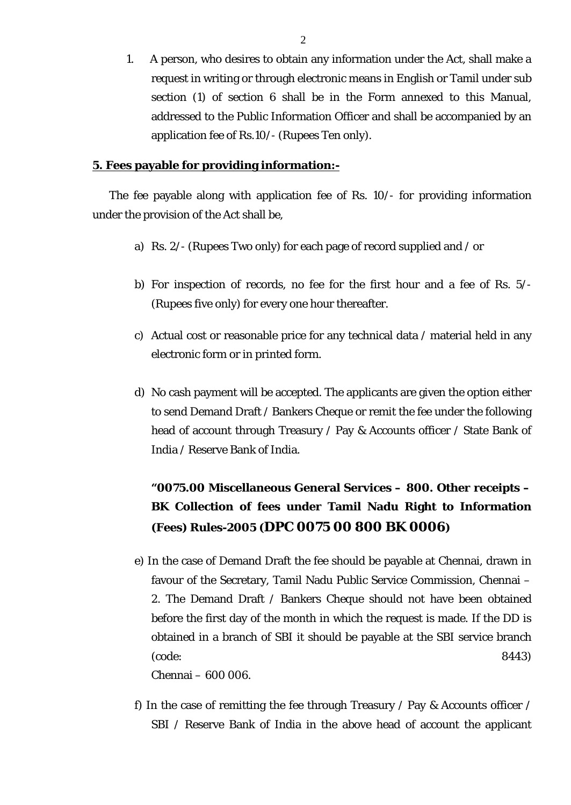1. A person, who desires to obtain any information under the Act, shall make a request in writing or through electronic means in English or Tamil under sub section (1) of section 6 shall be in the Form annexed to this Manual, addressed to the Public Information Officer and shall be accompanied by an application fee of Rs.10/- (Rupees Ten only).

#### **5. Fees payable for providing information:-**

The fee payable along with application fee of Rs. 10/- for providing information under the provision of the Act shall be,

- a) Rs. 2/- (Rupees Two only) for each page of record supplied and / or
- b) For inspection of records, no fee for the first hour and a fee of Rs. 5/- (Rupees five only) for every one hour thereafter.
- c) Actual cost or reasonable price for any technical data / material held in any electronic form or in printed form.
- d) No cash payment will be accepted. The applicants are given the option either to send Demand Draft / Bankers Cheque or remit the fee under the following head of account through Treasury / Pay & Accounts officer / State Bank of India / Reserve Bank of India.

### **"0075.00 Miscellaneous General Services – 800. Other receipts – BK Collection of fees under Tamil Nadu Right to Information (Fees) Rules-2005 (DPC 0075 00 800 BK 0006)**

e) In the case of Demand Draft the fee should be payable at Chennai, drawn in favour of the Secretary, Tamil Nadu Public Service Commission, Chennai – 2. The Demand Draft / Bankers Cheque should not have been obtained before the first day of the month in which the request is made. If the DD is obtained in a branch of SBI it should be payable at the SBI service branch (code: 8443)

Chennai – 600 006.

f) In the case of remitting the fee through Treasury / Pay & Accounts officer / SBI / Reserve Bank of India in the above head of account the applicant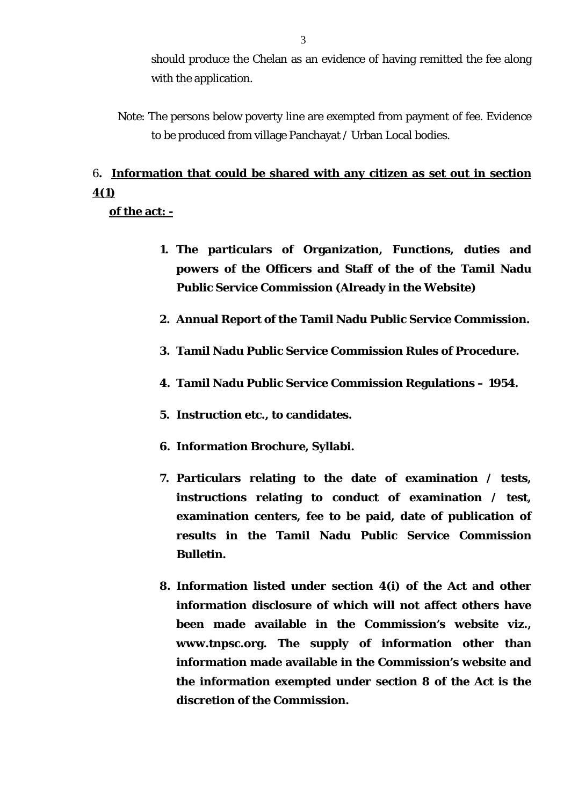should produce the Chelan as an evidence of having remitted the fee along with the application.

Note: The persons below poverty line are exempted from payment of fee. Evidence to be produced from village Panchayat / Urban Local bodies.

# 6**. Information that could be shared with any citizen as set out in section 4(1)**

**of the act: -**

- **1. The particulars of Organization, Functions, duties and powers of the Officers and Staff of the of the Tamil Nadu Public Service Commission (Already in the Website)**
- **2. Annual Report of the Tamil Nadu Public Service Commission.**
- **3. Tamil Nadu Public Service Commission Rules of Procedure.**
- **4. Tamil Nadu Public Service Commission Regulations 1954.**
- **5. Instruction etc., to candidates.**
- **6. Information Brochure, Syllabi.**
- **7. Particulars relating to the date of examination / tests, instructions relating to conduct of examination / test, examination centers, fee to be paid, date of publication of results in the Tamil Nadu Public Service Commission Bulletin.**
- **8. Information listed under section 4(i) of the Act and other information disclosure of which will not affect others have been made available in the Commission's website viz., www.tnpsc.org. The supply of information other than information made available in the Commission's website and the information exempted under section 8 of the Act is the discretion of the Commission.**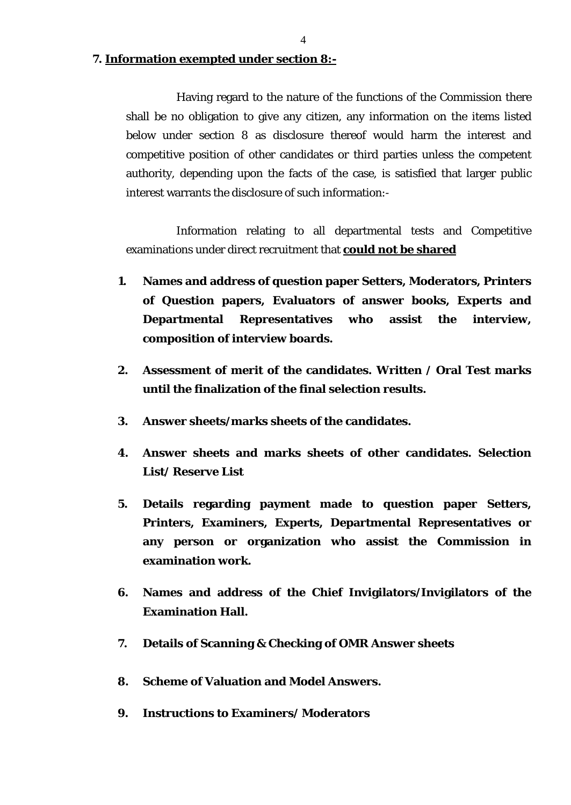**7. Information exempted under section 8:-**

 Having regard to the nature of the functions of the Commission there shall be no obligation to give any citizen, any information on the items listed below under section 8 as disclosure thereof would harm the interest and competitive position of other candidates or third parties unless the competent authority, depending upon the facts of the case, is satisfied that larger public interest warrants the disclosure of such information:-

 Information relating to all departmental tests and Competitive examinations under direct recruitment that **could not be shared**

- **1. Names and address of question paper Setters, Moderators, Printers of Question papers, Evaluators of answer books, Experts and Departmental Representatives who assist the interview, composition of interview boards.**
- **2. Assessment of merit of the candidates. Written / Oral Test marks until the finalization of the final selection results.**
- **3. Answer sheets/marks sheets of the candidates.**
- **4. Answer sheets and marks sheets of other candidates. Selection List/ Reserve List**
- **5. Details regarding payment made to question paper Setters, Printers, Examiners, Experts, Departmental Representatives or any person or organization who assist the Commission in examination work.**
- **6. Names and address of the Chief Invigilators/Invigilators of the Examination Hall.**
- **7. Details of Scanning & Checking of OMR Answer sheets**
- **8. Scheme of Valuation and Model Answers.**
- **9. Instructions to Examiners/ Moderators**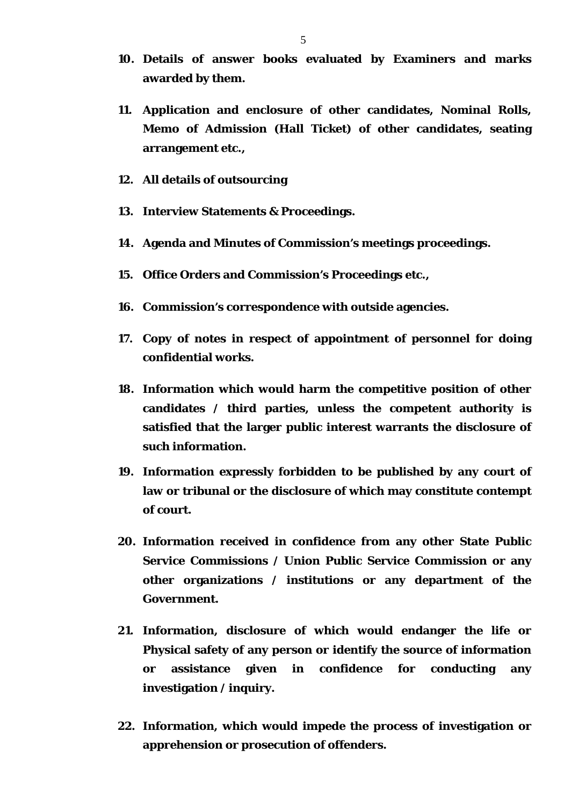- **10. Details of answer books evaluated by Examiners and marks awarded by them.**
- **11. Application and enclosure of other candidates, Nominal Rolls, Memo of Admission (Hall Ticket) of other candidates, seating arrangement etc.,**
- **12. All details of outsourcing**
- **13. Interview Statements & Proceedings.**
- **14. Agenda and Minutes of Commission's meetings proceedings.**
- **15. Office Orders and Commission's Proceedings etc.,**
- **16. Commission's correspondence with outside agencies.**
- **17. Copy of notes in respect of appointment of personnel for doing confidential works.**
- **18. Information which would harm the competitive position of other candidates / third parties, unless the competent authority is satisfied that the larger public interest warrants the disclosure of such information.**
- **19. Information expressly forbidden to be published by any court of law or tribunal or the disclosure of which may constitute contempt of court.**
- **20. Information received in confidence from any other State Public Service Commissions / Union Public Service Commission or any other organizations / institutions or any department of the Government.**
- **21. Information, disclosure of which would endanger the life or Physical safety of any person or identify the source of information or assistance given in confidence for conducting any investigation / inquiry.**
- **22. Information, which would impede the process of investigation or apprehension or prosecution of offenders.**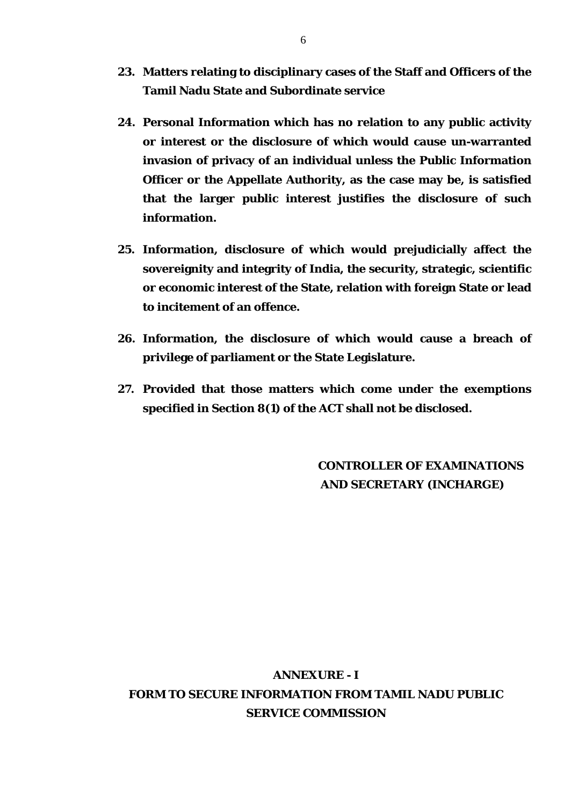- **23. Matters relating to disciplinary cases of the Staff and Officers of the Tamil Nadu State and Subordinate service**
- **24. Personal Information which has no relation to any public activity or interest or the disclosure of which would cause un-warranted invasion of privacy of an individual unless the Public Information Officer or the Appellate Authority, as the case may be, is satisfied that the larger public interest justifies the disclosure of such information.**
- **25. Information, disclosure of which would prejudicially affect the sovereignity and integrity of India, the security, strategic, scientific or economic interest of the State, relation with foreign State or lead to incitement of an offence.**
- **26. Information, the disclosure of which would cause a breach of privilege of parliament or the State Legislature.**
- **27. Provided that those matters which come under the exemptions specified in Section 8(1) of the ACT shall not be disclosed.**

**CONTROLLER OF EXAMINATIONS AND SECRETARY (INCHARGE)** 

# **ANNEXURE - I FORM TO SECURE INFORMATION FROM TAMIL NADU PUBLIC SERVICE COMMISSION**